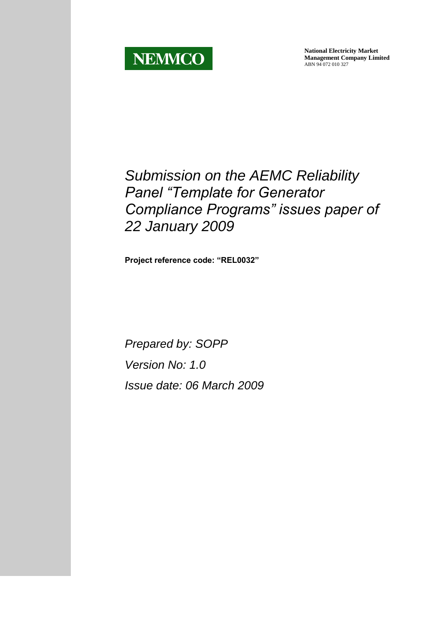

**National Electricity Market Management Company Limited** ABN 94 072 010 327

# *Submission on the AEMC Reliability Panel "Template for Generator Compliance Programs" issues paper of 22 January 2009*

**Project reference code: "REL0032"**

*Prepared by: SOPP Version No: 1.0 Issue date: 06 March 2009*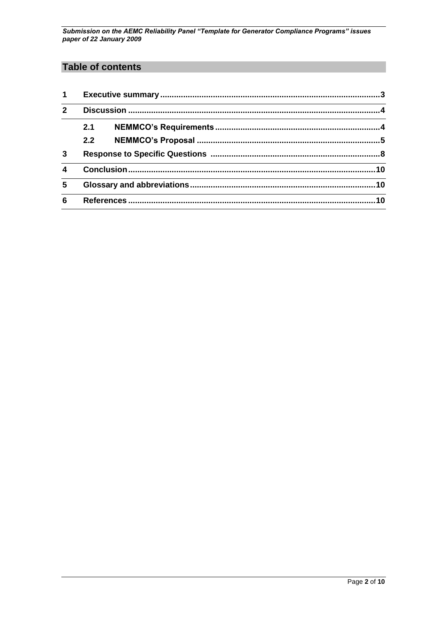## **Table of contents**

| $\mathbf 1$      |     |           |  |
|------------------|-----|-----------|--|
| $\mathbf{c}$     |     |           |  |
|                  | 2.1 |           |  |
|                  | 2.2 |           |  |
| 3                |     |           |  |
| $\boldsymbol{4}$ |     |           |  |
| 5                | .10 |           |  |
| 6                |     | <b>10</b> |  |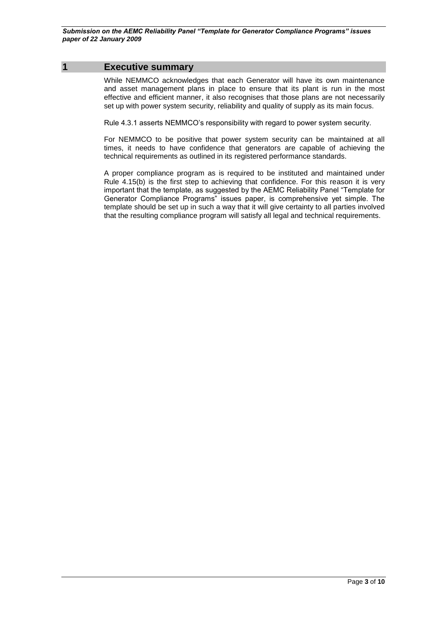### <span id="page-2-0"></span>**1 Executive summary**

While NEMMCO acknowledges that each Generator will have its own maintenance and asset management plans in place to ensure that its plant is run in the most effective and efficient manner, it also recognises that those plans are not necessarily set up with power system security, reliability and quality of supply as its main focus.

Rule 4.3.1 asserts NEMMCO's responsibility with regard to power system security.

For NEMMCO to be positive that power system security can be maintained at all times, it needs to have confidence that generators are capable of achieving the technical requirements as outlined in its registered performance standards.

A proper compliance program as is required to be instituted and maintained under Rule 4.15(b) is the first step to achieving that confidence. For this reason it is very important that the template, as suggested by the AEMC Reliability Panel "Template for Generator Compliance Programs" issues paper, is comprehensive yet simple. The template should be set up in such a way that it will give certainty to all parties involved that the resulting compliance program will satisfy all legal and technical requirements.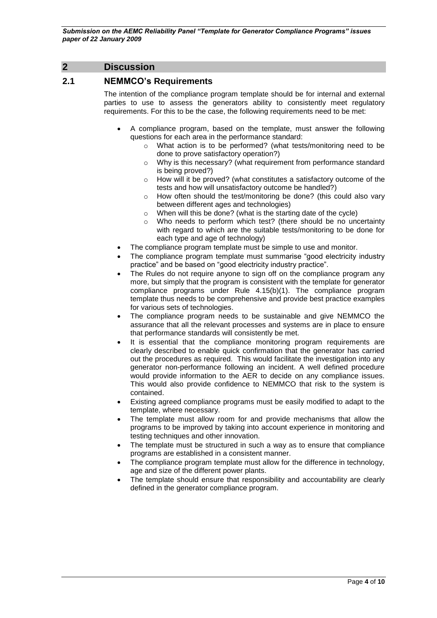## <span id="page-3-0"></span>**2 Discussion**

## <span id="page-3-1"></span>**2.1 NEMMCO's Requirements**

The intention of the compliance program template should be for internal and external parties to use to assess the generators ability to consistently meet regulatory requirements. For this to be the case, the following requirements need to be met:

- A compliance program, based on the template, must answer the following questions for each area in the performance standard:
	- o What action is to be performed? (what tests/monitoring need to be done to prove satisfactory operation?)
	- o Why is this necessary? (what requirement from performance standard is being proved?)
	- $\circ$  How will it be proved? (what constitutes a satisfactory outcome of the tests and how will unsatisfactory outcome be handled?)
	- o How often should the test/monitoring be done? (this could also vary between different ages and technologies)
	- o When will this be done? (what is the starting date of the cycle)
	- o Who needs to perform which test? (there should be no uncertainty with regard to which are the suitable tests/monitoring to be done for each type and age of technology)
- The compliance program template must be simple to use and monitor.
- The compliance program template must summarise "good electricity industry practice" and be based on "good electricity industry practice".
- The Rules do not require anyone to sign off on the compliance program any more, but simply that the program is consistent with the template for generator compliance programs under Rule 4.15(b)(1). The compliance program template thus needs to be comprehensive and provide best practice examples for various sets of technologies.
- The compliance program needs to be sustainable and give NEMMCO the assurance that all the relevant processes and systems are in place to ensure that performance standards will consistently be met.
- It is essential that the compliance monitoring program requirements are clearly described to enable quick confirmation that the generator has carried out the procedures as required. This would facilitate the investigation into any generator non-performance following an incident. A well defined procedure would provide information to the AER to decide on any compliance issues. This would also provide confidence to NEMMCO that risk to the system is contained.
- Existing agreed compliance programs must be easily modified to adapt to the template, where necessary.
- The template must allow room for and provide mechanisms that allow the programs to be improved by taking into account experience in monitoring and testing techniques and other innovation.
- The template must be structured in such a way as to ensure that compliance programs are established in a consistent manner.
- The compliance program template must allow for the difference in technology, age and size of the different power plants.
- The template should ensure that responsibility and accountability are clearly defined in the generator compliance program.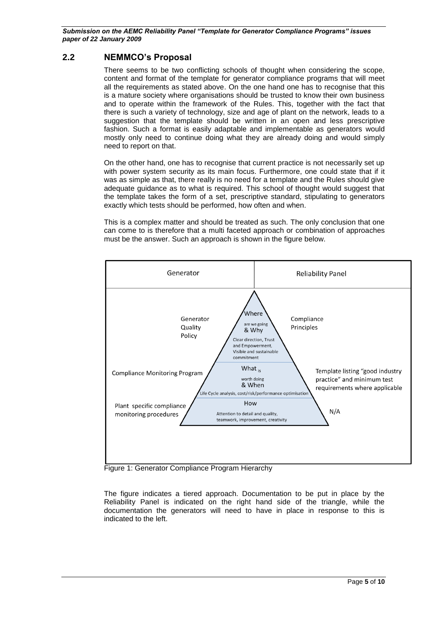## <span id="page-4-0"></span>**2.2 NEMMCO's Proposal**

There seems to be two conflicting schools of thought when considering the scope, content and format of the template for generator compliance programs that will meet all the requirements as stated above. On the one hand one has to recognise that this is a mature society where organisations should be trusted to know their own business and to operate within the framework of the Rules. This, together with the fact that there is such a variety of technology, size and age of plant on the network, leads to a suggestion that the template should be written in an open and less prescriptive fashion. Such a format is easily adaptable and implementable as generators would mostly only need to continue doing what they are already doing and would simply need to report on that.

On the other hand, one has to recognise that current practice is not necessarily set up with power system security as its main focus. Furthermore, one could state that if it was as simple as that, there really is no need for a template and the Rules should give adequate guidance as to what is required. This school of thought would suggest that the template takes the form of a set, prescriptive standard, stipulating to generators exactly which tests should be performed, how often and when.

This is a complex matter and should be treated as such. The only conclusion that one can come to is therefore that a multi faceted approach or combination of approaches must be the answer. Such an approach is shown in the figure below.



Figure 1: Generator Compliance Program Hierarchy

The figure indicates a tiered approach. Documentation to be put in place by the Reliability Panel is indicated on the right hand side of the triangle, while the documentation the generators will need to have in place in response to this is indicated to the left.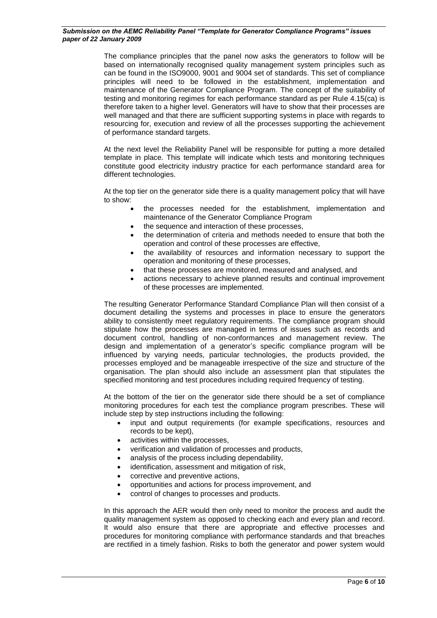The compliance principles that the panel now asks the generators to follow will be based on internationally recognised quality management system principles such as can be found in the ISO9000, 9001 and 9004 set of standards. This set of compliance principles will need to be followed in the establishment, implementation and maintenance of the Generator Compliance Program. The concept of the suitability of testing and monitoring regimes for each performance standard as per Rule 4.15(ca) is therefore taken to a higher level. Generators will have to show that their processes are well managed and that there are sufficient supporting systems in place with regards to resourcing for, execution and review of all the processes supporting the achievement of performance standard targets.

At the next level the Reliability Panel will be responsible for putting a more detailed template in place. This template will indicate which tests and monitoring techniques constitute good electricity industry practice for each performance standard area for different technologies.

At the top tier on the generator side there is a quality management policy that will have to show:

- the processes needed for the establishment, implementation and maintenance of the Generator Compliance Program
- the sequence and interaction of these processes,
- the determination of criteria and methods needed to ensure that both the operation and control of these processes are effective,
- the availability of resources and information necessary to support the operation and monitoring of these processes,
- that these processes are monitored, measured and analysed, and
- actions necessary to achieve planned results and continual improvement of these processes are implemented.

The resulting Generator Performance Standard Compliance Plan will then consist of a document detailing the systems and processes in place to ensure the generators ability to consistently meet regulatory requirements. The compliance program should stipulate how the processes are managed in terms of issues such as records and document control, handling of non-conformances and management review. The design and implementation of a generator's specific compliance program will be influenced by varying needs, particular technologies, the products provided, the processes employed and be manageable irrespective of the size and structure of the organisation. The plan should also include an assessment plan that stipulates the specified monitoring and test procedures including required frequency of testing.

At the bottom of the tier on the generator side there should be a set of compliance monitoring procedures for each test the compliance program prescribes. These will include step by step instructions including the following:

- input and output requirements (for example specifications, resources and records to be kept),
- activities within the processes,
- verification and validation of processes and products,
- analysis of the process including dependability,
- identification, assessment and mitigation of risk,
- corrective and preventive actions,
- opportunities and actions for process improvement, and
- control of changes to processes and products.

In this approach the AER would then only need to monitor the process and audit the quality management system as opposed to checking each and every plan and record. It would also ensure that there are appropriate and effective processes and procedures for monitoring compliance with performance standards and that breaches are rectified in a timely fashion. Risks to both the generator and power system would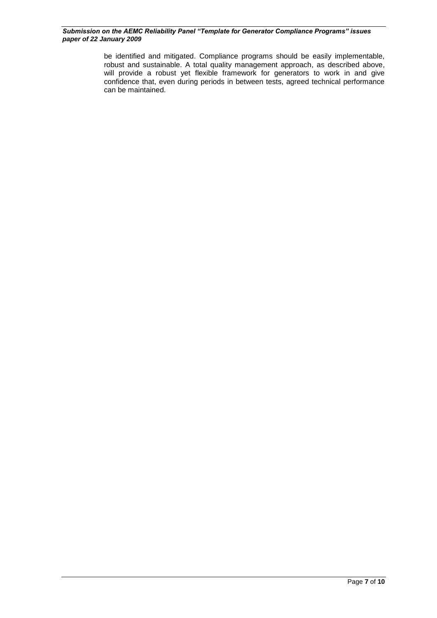be identified and mitigated. Compliance programs should be easily implementable, robust and sustainable. A total quality management approach, as described above, will provide a robust yet flexible framework for generators to work in and give confidence that, even during periods in between tests, agreed technical performance can be maintained.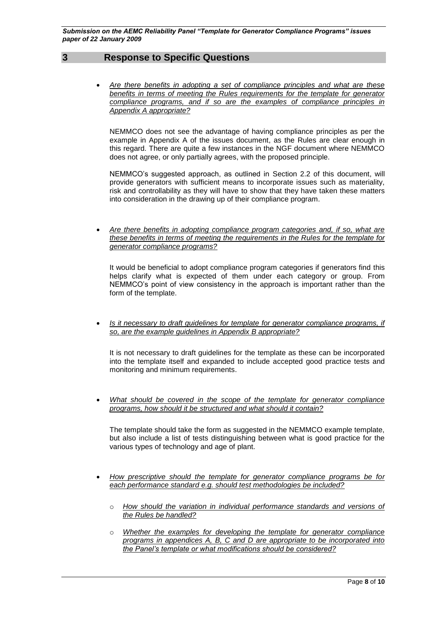## **3 Response to Specific Questions**

<span id="page-7-0"></span> *Are there benefits in adopting a set of compliance principles and what are these benefits in terms of meeting the Rules requirements for the template for generator compliance programs, and if so are the examples of compliance principles in Appendix A appropriate?*

NEMMCO does not see the advantage of having compliance principles as per the example in Appendix A of the issues document, as the Rules are clear enough in this regard. There are quite a few instances in the NGF document where NEMMCO does not agree, or only partially agrees, with the proposed principle.

NEMMCO's suggested approach, as outlined in Section 2.2 of this document, will provide generators with sufficient means to incorporate issues such as materiality, risk and controllability as they will have to show that they have taken these matters into consideration in the drawing up of their compliance program.

 *Are there benefits in adopting compliance program categories and, if so, what are these benefits in terms of meeting the requirements in the Rules for the template for generator compliance programs?*

It would be beneficial to adopt compliance program categories if generators find this helps clarify what is expected of them under each category or group. From NEMMCO's point of view consistency in the approach is important rather than the form of the template.

*Is it necessary to draft guidelines for template for generator compliance programs, if so, are the example guidelines in Appendix B appropriate?*

It is not necessary to draft guidelines for the template as these can be incorporated into the template itself and expanded to include accepted good practice tests and monitoring and minimum requirements.

 *What should be covered in the scope of the template for generator compliance programs, how should it be structured and what should it contain?*

The template should take the form as suggested in the NEMMCO example template, but also include a list of tests distinguishing between what is good practice for the various types of technology and age of plant.

- *How prescriptive should the template for generator compliance programs be for each performance standard e.g. should test methodologies be included?*
	- o *How should the variation in individual performance standards and versions of the Rules be handled?*
	- o *Whether the examples for developing the template for generator compliance programs in appendices A, B, C and D are appropriate to be incorporated into the Panel's template or what modifications should be considered?*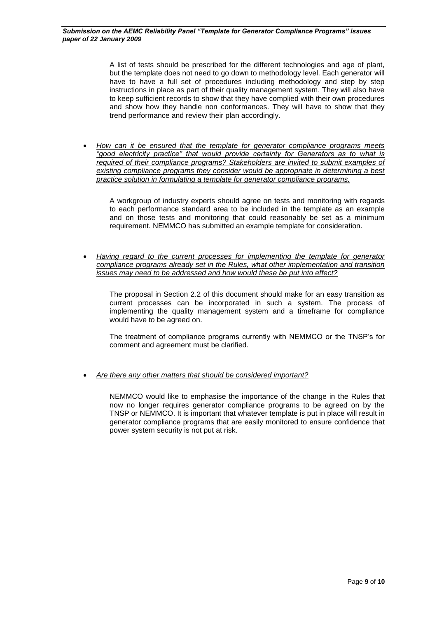A list of tests should be prescribed for the different technologies and age of plant, but the template does not need to go down to methodology level. Each generator will have to have a full set of procedures including methodology and step by step instructions in place as part of their quality management system. They will also have to keep sufficient records to show that they have complied with their own procedures and show how they handle non conformances. They will have to show that they trend performance and review their plan accordingly.

 *How can it be ensured that the template for generator compliance programs meets "good electricity practice" that would provide certainty for Generators as to what is required of their compliance programs? Stakeholders are invited to submit examples of existing compliance programs they consider would be appropriate in determining a best practice solution in formulating a template for generator compliance programs.*

A workgroup of industry experts should agree on tests and monitoring with regards to each performance standard area to be included in the template as an example and on those tests and monitoring that could reasonably be set as a minimum requirement. NEMMCO has submitted an example template for consideration.

 *Having regard to the current processes for implementing the template for generator compliance programs already set in the Rules, what other implementation and transition issues may need to be addressed and how would these be put into effect?*

The proposal in Section 2.2 of this document should make for an easy transition as current processes can be incorporated in such a system. The process of implementing the quality management system and a timeframe for compliance would have to be agreed on.

The treatment of compliance programs currently with NEMMCO or the TNSP's for comment and agreement must be clarified.

*Are there any other matters that should be considered important?*

NEMMCO would like to emphasise the importance of the change in the Rules that now no longer requires generator compliance programs to be agreed on by the TNSP or NEMMCO. It is important that whatever template is put in place will result in generator compliance programs that are easily monitored to ensure confidence that power system security is not put at risk.